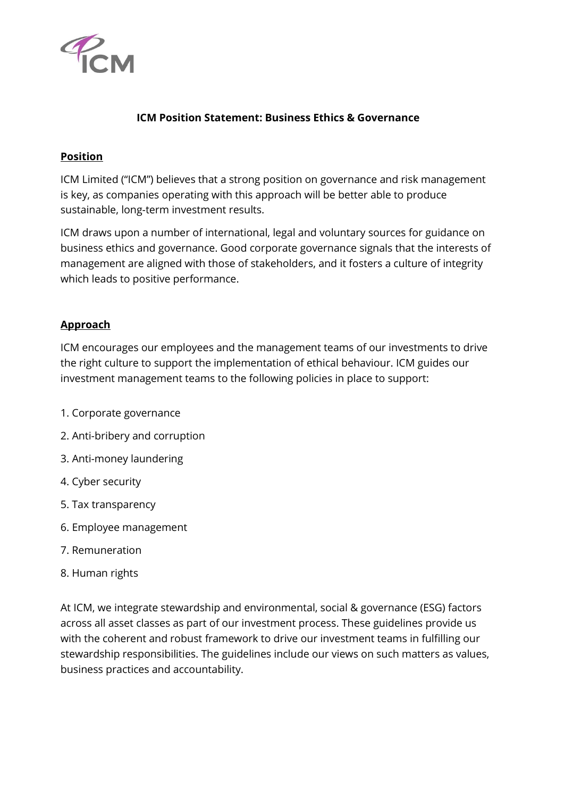

## **ICM Position Statement: Business Ethics & Governance**

## **Position**

ICM Limited ("ICM") believes that a strong position on governance and risk management is key, as companies operating with this approach will be better able to produce sustainable, long-term investment results.

ICM draws upon a number of international, legal and voluntary sources for guidance on business ethics and governance. Good corporate governance signals that the interests of management are aligned with those of stakeholders, and it fosters a culture of integrity which leads to positive performance.

## **Approach**

ICM encourages our employees and the management teams of our investments to drive the right culture to support the implementation of ethical behaviour. ICM guides our investment management teams to the following policies in place to support:

- 1. Corporate governance
- 2. Anti-bribery and corruption
- 3. Anti-money laundering
- 4. Cyber security
- 5. Tax transparency
- 6. Employee management
- 7. Remuneration
- 8. Human rights

At ICM, we integrate stewardship and environmental, social & governance (ESG) factors across all asset classes as part of our investment process. These guidelines provide us with the coherent and robust framework to drive our investment teams in fulfilling our stewardship responsibilities. The guidelines include our views on such matters as values, business practices and accountability.